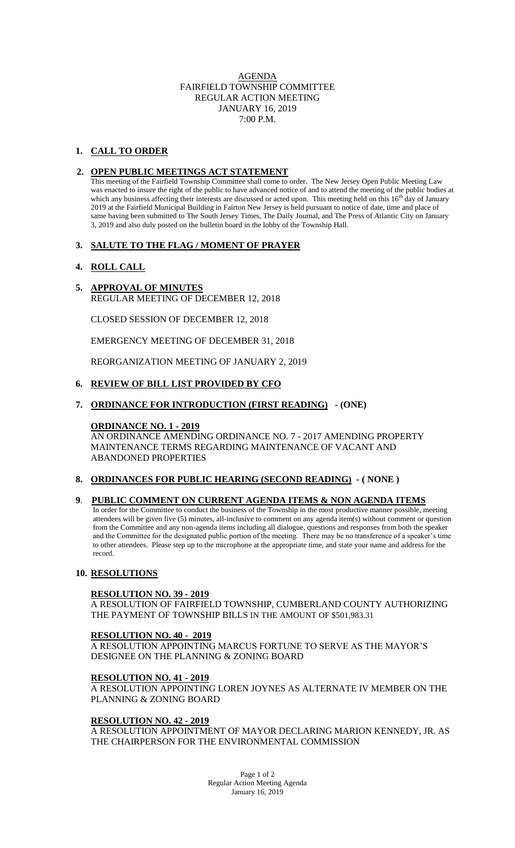## AGENDA FAIRFIELD TOWNSHIP COMMITTEE REGULAR ACTION MEETING JANUARY 16, 2019 7:00 P.M.

# **1. CALL TO ORDER**

## **2. OPEN PUBLIC MEETINGS ACT STATEMENT**

This meeting of the Fairfield Township Committee shall come to order. The New Jersey Open Public Meeting Law was enacted to insure the right of the public to have advanced notice of and to attend the meeting of the public bodies at which any business affecting their interests are discussed or acted upon. This meeting held on this  $16<sup>th</sup>$  day of January 2019 at the Fairfield Municipal Building in Fairton New Jersey is held pursuant to notice of date, time and place of same having been submitted to The South Jersey Times, The Daily Journal, and The Press of Atlantic City on January 3, 2019 and also duly posted on the bulletin board in the lobby of the Township Hall.

### **3. SALUTE TO THE FLAG / MOMENT OF PRAYER**

## **4. ROLL CALL**

## **5. APPROVAL OF MINUTES**

REGULAR MEETING OF DECEMBER 12, 2018

CLOSED SESSION OF DECEMBER 12, 2018

EMERGENCY MEETING OF DECEMBER 31, 2018

REORGANIZATION MEETING OF JANUARY 2, 2019

### **6. REVIEW OF BILL LIST PROVIDED BY CFO**

## **7. ORDINANCE FOR INTRODUCTION (FIRST READING) - (ONE)**

#### **ORDINANCE NO. 1 - 2019**

AN ORDINANCE AMENDING ORDINANCE NO. 7 - 2017 AMENDING PROPERTY MAINTENANCE TERMS REGARDING MAINTENANCE OF VACANT AND ABANDONED PROPERTIES

## **8. ORDINANCES FOR PUBLIC HEARING (SECOND READING) - ( NONE )**

## **9**. **PUBLIC COMMENT ON CURRENT AGENDA ITEMS & NON AGENDA ITEMS**

 In order for the Committee to conduct the business of the Township in the most productive manner possible, meeting attendees will be given five (5) minutes, all-inclusive to comment on any agenda item(s) without comment or question from the Committee and any non-agenda items including all dialogue, questions and responses from both the speaker and the Committee for the designated public portion of the meeting. There may be no transference of a speaker's time to other attendees. Please step up to the microphone at the appropriate time, and state your name and address for the record.

#### **10. RESOLUTIONS**

#### **RESOLUTION NO. 39 - 2019**

A RESOLUTION OF FAIRFIELD TOWNSHIP, CUMBERLAND COUNTY AUTHORIZING THE PAYMENT OF TOWNSHIP BILLS IN THE AMOUNT OF \$501,983.31

#### **RESOLUTION NO. 40 - 2019**

A RESOLUTION APPOINTING MARCUS FORTUNE TO SERVE AS THE MAYOR'S DESIGNEE ON THE PLANNING & ZONING BOARD

#### **RESOLUTION NO. 41 - 2019**

A RESOLUTION APPOINTING LOREN JOYNES AS ALTERNATE IV MEMBER ON THE PLANNING & ZONING BOARD

### **RESOLUTION NO. 42 - 2019**

A RESOLUTION APPOINTMENT OF MAYOR DECLARING MARION KENNEDY, JR. AS THE CHAIRPERSON FOR THE ENVIRONMENTAL COMMISSION

> Page 1 of 2 Regular Action Meeting Agenda January 16, 2019